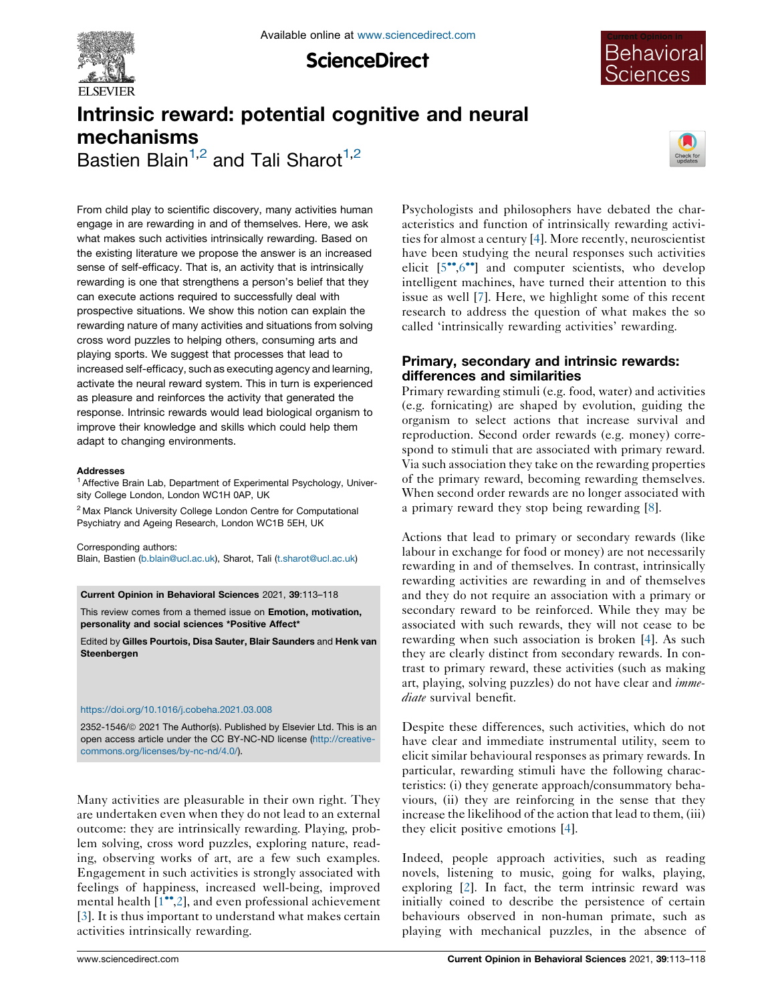

**ScienceDirect** 



# Intrinsic reward: potential cognitive and neural mechanisms Bastien Blain<sup>1,2</sup> and Tali Sharot<sup>1,2</sup>



From child play to scientific discovery, many activities human engage in are rewarding in and of themselves. Here, we ask what makes such activities intrinsically rewarding. Based on the existing literature we propose the answer is an increased sense of self-efficacy. That is, an activity that is intrinsically rewarding is one that strengthens a person's belief that they can execute actions required to successfully deal with prospective situations. We show this notion can explain the rewarding nature of many activities and situations from solving cross word puzzles to helping others, consuming arts and playing sports. We suggest that processes that lead to increased self-efficacy, such as executing agency and learning, activate the neural reward system. This in turn is experienced as pleasure and reinforces the activity that generated the response. Intrinsic rewards would lead biological organism to improve their knowledge and skills which could help them adapt to changing environments.

#### Addresses

<sup>1</sup> Affective Brain Lab, Department of Experimental Psychology, University College London, London WC1H 0AP, UK

<sup>2</sup> Max Planck University College London Centre for Computational Psychiatry and Ageing Research, London WC1B 5EH, UK

Corresponding authors: Blain, Bastien ([b.blain@ucl.ac.uk](mailto:b.blain@ucl.ac.uk)), Sharot, Tali ([t.sharot@ucl.ac.uk](mailto:t.sharot@ucl.ac.uk))

Current Opinion in Behavioral Sciences 2021, 39:113–118

This review comes from a themed issue on Emotion, motivation, personality and social sciences \*Positive Affect\*

Edited by Gilles Pourtois, Disa Sauter, Blair Saunders and Henk van Steenbergen

### <https://doi.org/10.1016/j.cobeha.2021.03.008>

2352-1546/@ 2021 The Author(s). Published by Elsevier Ltd. This is an open access article under the CC BY-NC-ND license [\(http://creative](http://creativecommons.org/licenses/by-nc-nd/4.0/)[commons.org/licenses/by-nc-nd/4.0/](http://creativecommons.org/licenses/by-nc-nd/4.0/)).

Many activities are pleasurable in their own right. They are undertaken even when they do not lead to an external outcome: they are intrinsically rewarding. Playing, problem solving, cross word puzzles, exploring nature, reading, observing works of art, are a few such examples. Engagement in such activities is strongly associated with feelings of happiness, increased well-being, improved mental health  $[1^{\bullet\bullet},2]$  $[1^{\bullet\bullet},2]$ , and even professional achievement [\[3](#page-4-0)]. It is thus important to understand what makes certain activities intrinsically rewarding.

Psychologists and philosophers have debated the characteristics and function of intrinsically rewarding activities for almost a century [[4\]](#page-4-0). More recently, neuroscientist have been studying the neural responses such activities elicit  $[5\degree, 6\degree]$  and computer scientists, who develop intelligent machines, have turned their attention to this issue as well [\[7](#page-4-0)]. Here, we highlight some of this recent research to address the question of what makes the so called 'intrinsically rewarding activities' rewarding.

## Primary, secondary and intrinsic rewards: differences and similarities

Primary rewarding stimuli (e.g. food, water) and activities (e.g. fornicating) are shaped by evolution, guiding the organism to select actions that increase survival and reproduction. Second order rewards (e.g. money) correspond to stimuli that are associated with primary reward. Via such association they take on the rewarding properties of the primary reward, becoming rewarding themselves. When second order rewards are no longer associated with a primary reward they stop being rewarding [\[8](#page-4-0)].

Actions that lead to primary or secondary rewards (like labour in exchange for food or money) are not necessarily rewarding in and of themselves. In contrast, intrinsically rewarding activities are rewarding in and of themselves and they do not require an association with a primary or secondary reward to be reinforced. While they may be associated with such rewards, they will not cease to be rewarding when such association is broken [\[4](#page-4-0)]. As such they are clearly distinct from secondary rewards. In contrast to primary reward, these activities (such as making art, playing, solving puzzles) do not have clear and *imme*diate survival benefit.

Despite these differences, such activities, which do not have clear and immediate instrumental utility, seem to elicit similar behavioural responses as primary rewards. In particular, rewarding stimuli have the following characteristics: (i) they generate approach/consummatory behaviours, (ii) they are reinforcing in the sense that they increase the likelihood of the action that lead to them, (iii) they elicit positive emotions [[4\]](#page-4-0).

Indeed, people approach activities, such as reading novels, listening to music, going for walks, playing, exploring [\[2](#page-4-0)]. In fact, the term intrinsic reward was initially coined to describe the persistence of certain behaviours observed in non-human primate, such as playing with mechanical puzzles, in the absence of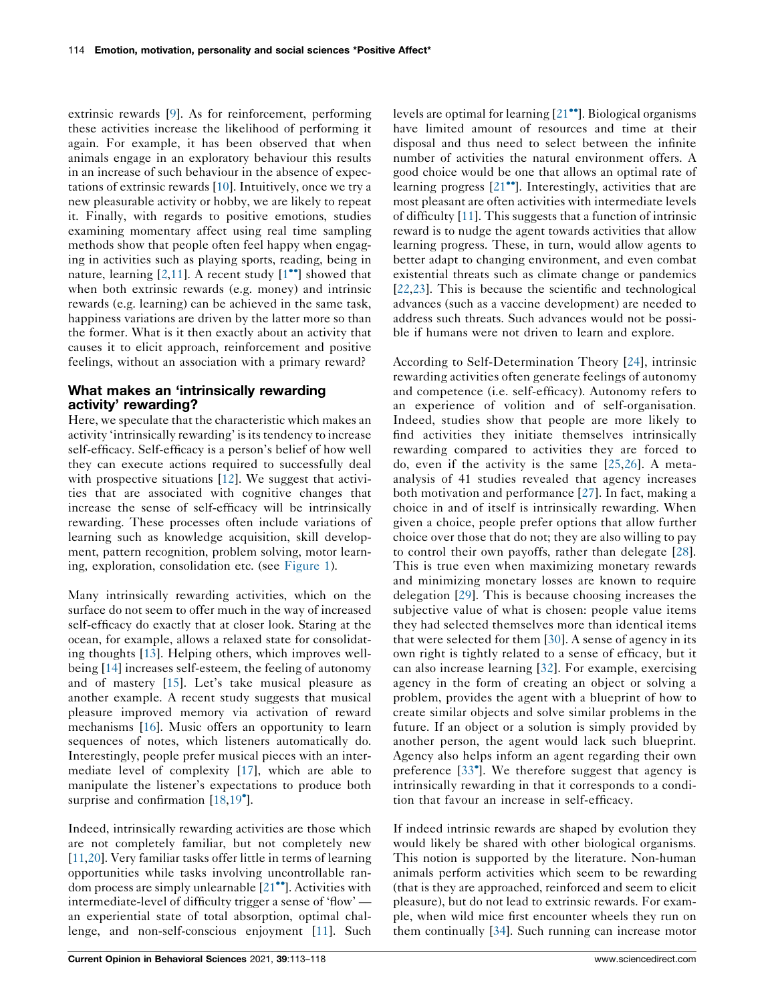extrinsic rewards [\[9](#page-4-0)]. As for reinforcement, performing these activities increase the likelihood of performing it again. For example, it has been observed that when animals engage in an exploratory behaviour this results in an increase of such behaviour in the absence of expectations of extrinsic rewards [\[10](#page-4-0)]. Intuitively, once we try a new pleasurable activity or hobby, we are likely to repeat it. Finally, with regards to positive emotions, studies examining momentary affect using real time sampling methods show that people often feel happy when engaging in activities such as playing sports, reading, being in nature, learning  $[2,11]$  $[2,11]$  $[2,11]$ . A recent study  $[1^{\bullet\bullet}]$  showed that when both extrinsic rewards (e.g. money) and intrinsic rewards (e.g. learning) can be achieved in the same task, happiness variations are driven by the latter more so than the former. What is it then exactly about an activity that causes it to elicit approach, reinforcement and positive feelings, without an association with a primary reward?

### What makes an 'intrinsically rewarding activity' rewarding?

Here, we speculate that the characteristic which makes an activity 'intrinsically rewarding' is its tendency to increase self-efficacy. Self-efficacy is a person's belief of how well they can execute actions required to successfully deal with prospective situations [[12\]](#page-4-0). We suggest that activities that are associated with cognitive changes that increase the sense of self-efficacy will be intrinsically rewarding. These processes often include variations of learning such as knowledge acquisition, skill development, pattern recognition, problem solving, motor learning, exploration, consolidation etc. (see [Figure](#page-2-0) 1).

Many intrinsically rewarding activities, which on the surface do not seem to offer much in the way of increased self-efficacy do exactly that at closer look. Staring at the ocean, for example, allows a relaxed state for consolidating thoughts [[13\]](#page-4-0). Helping others, which improves wellbeing [\[14](#page-4-0)] increases self-esteem, the feeling of autonomy and of mastery [\[15](#page-4-0)]. Let's take musical pleasure as another example. A recent study suggests that musical pleasure improved memory via activation of reward mechanisms [[16\]](#page-4-0). Music offers an opportunity to learn sequences of notes, which listeners automatically do. Interestingly, people prefer musical pieces with an intermediate level of complexity [[17\]](#page-4-0), which are able to manipulate the listener's expectations to produce both surprise and confirmation [\[18](#page-4-0),[19](#page-4-0)<sup>°</sup>].

Indeed, intrinsically rewarding activities are those which are not completely familiar, but not completely new [\[11](#page-4-0),[20\]](#page-4-0). Very familiar tasks offer little in terms of learning opportunities while tasks involving uncontrollable random process are simply unlearnable  $[21\bullet]$  $[21\bullet]$ . Activities with intermediate-level of difficulty trigger a sense of 'flow' an experiential state of total absorption, optimal challenge, and non-self-conscious enjoyment [\[11](#page-4-0)]. Such

levels are optimal for learning  $[21\bullet]$  $[21\bullet]$ . Biological organisms have limited amount of resources and time at their disposal and thus need to select between the infinite number of activities the natural environment offers. A good choice would be one that allows an optimal rate of learning progress  $[21$  $[21$ <sup>\*\*</sup>]. Interestingly, activities that are most pleasant are often activities with intermediate levels of difficulty [\[11](#page-4-0)]. This suggests that a function of intrinsic reward is to nudge the agent towards activities that allow learning progress. These, in turn, would allow agents to better adapt to changing environment, and even combat existential threats such as climate change or pandemics [\[22](#page-5-0),[23\]](#page-5-0). This is because the scientific and technological advances (such as a vaccine development) are needed to address such threats. Such advances would not be possible if humans were not driven to learn and explore.

According to Self-Determination Theory [[24\]](#page-5-0), intrinsic rewarding activities often generate feelings of autonomy and competence (i.e. self-efficacy). Autonomy refers to an experience of volition and of self-organisation. Indeed, studies show that people are more likely to find activities they initiate themselves intrinsically rewarding compared to activities they are forced to do, even if the activity is the same [\[25,26](#page-5-0)]. A metaanalysis of 41 studies revealed that agency increases both motivation and performance [[27\]](#page-5-0). In fact, making a choice in and of itself is intrinsically rewarding. When given a choice, people prefer options that allow further choice over those that do not; they are also willing to pay to control their own payoffs, rather than delegate [\[28](#page-5-0)]. This is true even when maximizing monetary rewards and minimizing monetary losses are known to require delegation [\[29](#page-5-0)]. This is because choosing increases the subjective value of what is chosen: people value items they had selected themselves more than identical items that were selected for them [[30](#page-5-0)]. A sense of agency in its own right is tightly related to a sense of efficacy, but it can also increase learning [[32](#page-5-0)]. For example, exercising agency in the form of creating an object or solving a problem, provides the agent with a blueprint of how to create similar objects and solve similar problems in the future. If an object or a solution is simply provided by another person, the agent would lack such blueprint. Agency also helps inform an agent regarding their own preference [\[33](#page-5-0) ]. We therefore suggest that agency is intrinsically rewarding in that it corresponds to a condition that favour an increase in self-efficacy.

If indeed intrinsic rewards are shaped by evolution they would likely be shared with other biological organisms. This notion is supported by the literature. Non-human animals perform activities which seem to be rewarding (that is they are approached, reinforced and seem to elicit pleasure), but do not lead to extrinsic rewards. For example, when wild mice first encounter wheels they run on them continually [[34\]](#page-5-0). Such running can increase motor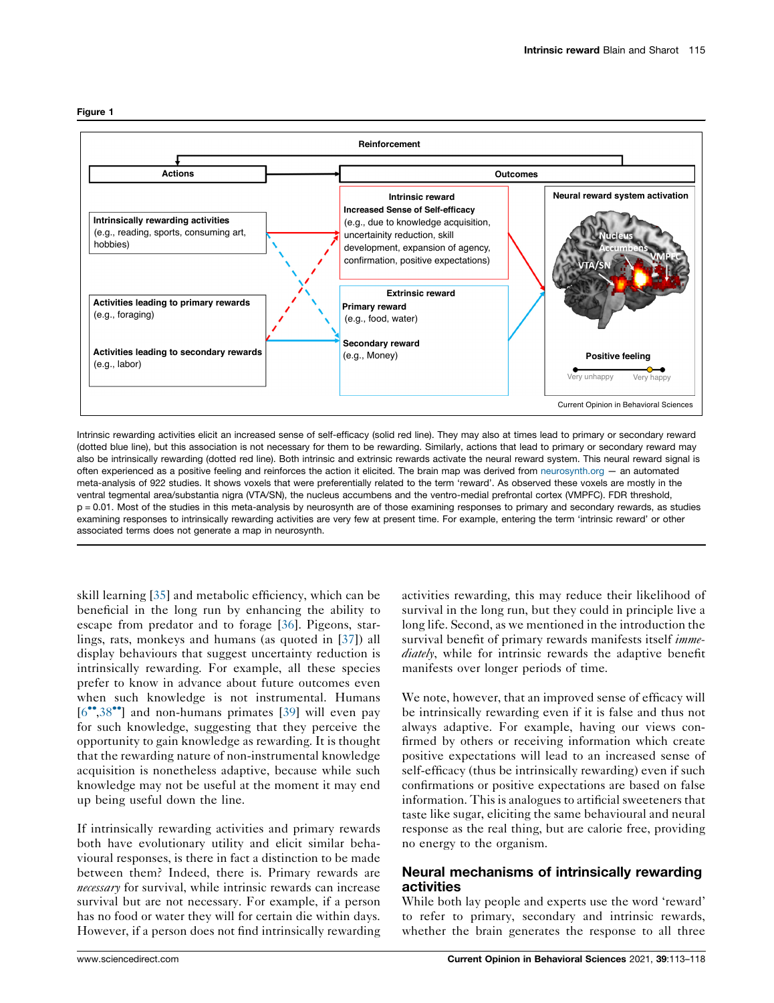<span id="page-2-0"></span>



Intrinsic rewarding activities elicit an increased sense of self-efficacy (solid red line). They may also at times lead to primary or secondary reward (dotted blue line), but this association is not necessary for them to be rewarding. Similarly, actions that lead to primary or secondary reward may also be intrinsically rewarding (dotted red line). Both intrinsic and extrinsic rewards activate the neural reward system. This neural reward signal is often experienced as a positive feeling and reinforces the action it elicited. The brain map was derived from [neurosynth.org](http://neurosynth.org) — an automated meta-analysis of 922 studies. It shows voxels that were preferentially related to the term 'reward'. As observed these voxels are mostly in the ventral tegmental area/substantia nigra (VTA/SN), the nucleus accumbens and the ventro-medial prefrontal cortex (VMPFC). FDR threshold, p = 0.01. Most of the studies in this meta-analysis by neurosynth are of those examining responses to primary and secondary rewards, as studies examining responses to intrinsically rewarding activities are very few at present time. For example, entering the term 'intrinsic reward' or other associated terms does not generate a map in neurosynth.

skill learning [[35\]](#page-5-0) and metabolic efficiency, which can be beneficial in the long run by enhancing the ability to escape from predator and to forage [[36\]](#page-5-0). Pigeons, starlings, rats, monkeys and humans (as quoted in [[37\]](#page-5-0)) all display behaviours that suggest uncertainty reduction is intrinsically rewarding. For example, all these species prefer to know in advance about future outcomes even when such knowledge is not instrumental. Humans  $[6^{\bullet\bullet}, 38^{\bullet\bullet}]$  $[6^{\bullet\bullet}, 38^{\bullet\bullet}]$  $[6^{\bullet\bullet}, 38^{\bullet\bullet}]$  and non-humans primates  $[39]$  $[39]$  will even pay for such knowledge, suggesting that they perceive the opportunity to gain knowledge as rewarding. It is thought that the rewarding nature of non-instrumental knowledge acquisition is nonetheless adaptive, because while such knowledge may not be useful at the moment it may end up being useful down the line.

If intrinsically rewarding activities and primary rewards both have evolutionary utility and elicit similar behavioural responses, is there in fact a distinction to be made between them? Indeed, there is. Primary rewards are necessary for survival, while intrinsic rewards can increase survival but are not necessary. For example, if a person has no food or water they will for certain die within days. However, if a person does not find intrinsically rewarding

activities rewarding, this may reduce their likelihood of survival in the long run, but they could in principle live a long life. Second, as we mentioned in the introduction the survival benefit of primary rewards manifests itself *imme*diately, while for intrinsic rewards the adaptive benefit manifests over longer periods of time.

We note, however, that an improved sense of efficacy will be intrinsically rewarding even if it is false and thus not always adaptive. For example, having our views confirmed by others or receiving information which create positive expectations will lead to an increased sense of self-efficacy (thus be intrinsically rewarding) even if such confirmations or positive expectations are based on false information. This is analogues to artificial sweeteners that taste like sugar, eliciting the same behavioural and neural response as the real thing, but are calorie free, providing no energy to the organism.

# Neural mechanisms of intrinsically rewarding activities

While both lay people and experts use the word 'reward' to refer to primary, secondary and intrinsic rewards, whether the brain generates the response to all three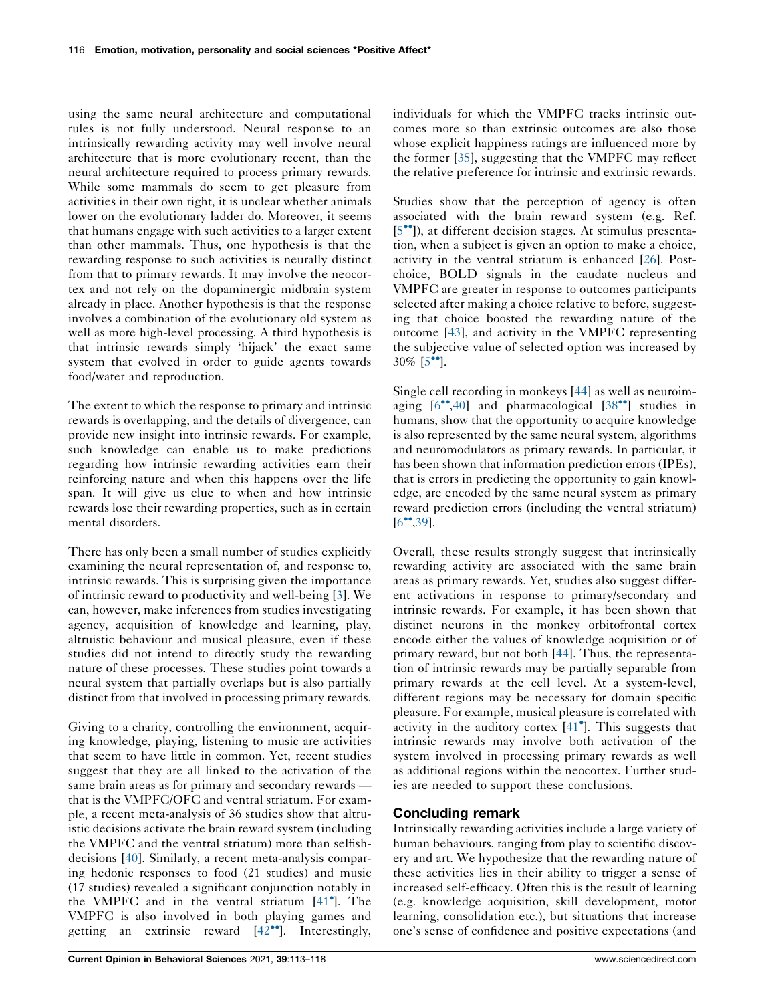using the same neural architecture and computational rules is not fully understood. Neural response to an intrinsically rewarding activity may well involve neural architecture that is more evolutionary recent, than the neural architecture required to process primary rewards. While some mammals do seem to get pleasure from activities in their own right, it is unclear whether animals lower on the evolutionary ladder do. Moreover, it seems that humans engage with such activities to a larger extent than other mammals. Thus, one hypothesis is that the rewarding response to such activities is neurally distinct from that to primary rewards. It may involve the neocortex and not rely on the dopaminergic midbrain system already in place. Another hypothesis is that the response involves a combination of the evolutionary old system as well as more high-level processing. A third hypothesis is that intrinsic rewards simply 'hijack' the exact same system that evolved in order to guide agents towards food/water and reproduction.

The extent to which the response to primary and intrinsic rewards is overlapping, and the details of divergence, can provide new insight into intrinsic rewards. For example, such knowledge can enable us to make predictions regarding how intrinsic rewarding activities earn their reinforcing nature and when this happens over the life span. It will give us clue to when and how intrinsic rewards lose their rewarding properties, such as in certain mental disorders.

There has only been a small number of studies explicitly examining the neural representation of, and response to, intrinsic rewards. This is surprising given the importance of intrinsic reward to productivity and well-being [\[3](#page-4-0)]. We can, however, make inferences from studies investigating agency, acquisition of knowledge and learning, play, altruistic behaviour and musical pleasure, even if these studies did not intend to directly study the rewarding nature of these processes. These studies point towards a neural system that partially overlaps but is also partially distinct from that involved in processing primary rewards.

Giving to a charity, controlling the environment, acquiring knowledge, playing, listening to music are activities that seem to have little in common. Yet, recent studies suggest that they are all linked to the activation of the same brain areas as for primary and secondary rewards that is the VMPFC/OFC and ventral striatum. For example, a recent meta-analysis of 36 studies show that altruistic decisions activate the brain reward system (including the VMPFC and the ventral striatum) more than selfishdecisions [\[40](#page-5-0)]. Similarly, a recent meta-analysis comparing hedonic responses to food (21 studies) and music (17 studies) revealed a significant conjunction notably in the VMPFC and in the ventral striatum [[41](#page-5-0) ]. The VMPFC is also involved in both playing games and getting an extrinsic reward  $[42^{\bullet\bullet}]$  $[42^{\bullet\bullet}]$  $[42^{\bullet\bullet}]$ . Interestingly, individuals for which the VMPFC tracks intrinsic outcomes more so than extrinsic outcomes are also those whose explicit happiness ratings are influenced more by the former [\[35](#page-5-0)], suggesting that the VMPFC may reflect the relative preference for intrinsic and extrinsic rewards.

Studies show that the perception of agency is often associated with the brain reward system (e.g. Ref. [\[5](#page-4-0)<sup> $\bullet$ </sup>]), at different decision stages. At stimulus presentation, when a subject is given an option to make a choice, activity in the ventral striatum is enhanced [[26\]](#page-5-0). Postchoice, BOLD signals in the caudate nucleus and VMPFC are greater in response to outcomes participants selected after making a choice relative to before, suggesting that choice boosted the rewarding nature of the outcome [[43\]](#page-5-0), and activity in the VMPFC representing the subjective value of selected option was increased by  $30\%$  [5<sup>••</sup>].

Single cell recording in monkeys [[44\]](#page-5-0) as well as neuroimaging  $[6^{\bullet\bullet}, 40]$  $[6^{\bullet\bullet}, 40]$  and pharmacological  $[38^{\bullet\bullet}]$  $[38^{\bullet\bullet}]$  studies in humans, show that the opportunity to acquire knowledge is also represented by the same neural system, algorithms and neuromodulators as primary rewards. In particular, it has been shown that information prediction errors (IPEs), that is errors in predicting the opportunity to gain knowledge, are encoded by the same neural system as primary reward prediction errors (including the ventral striatum)  $[6^{\circ\bullet}, 39]$  $[6^{\circ\bullet}, 39]$ .

Overall, these results strongly suggest that intrinsically rewarding activity are associated with the same brain areas as primary rewards. Yet, studies also suggest different activations in response to primary/secondary and intrinsic rewards. For example, it has been shown that distinct neurons in the monkey orbitofrontal cortex encode either the values of knowledge acquisition or of primary reward, but not both [\[44](#page-5-0)]. Thus, the representation of intrinsic rewards may be partially separable from primary rewards at the cell level. At a system-level, different regions may be necessary for domain specific pleasure. For example, musical pleasure is correlated with activity in the auditory cortex [\[41](#page-5-0) ]. This suggests that intrinsic rewards may involve both activation of the system involved in processing primary rewards as well as additional regions within the neocortex. Further studies are needed to support these conclusions.

### Concluding remark

Intrinsically rewarding activities include a large variety of human behaviours, ranging from play to scientific discovery and art. We hypothesize that the rewarding nature of these activities lies in their ability to trigger a sense of increased self-efficacy. Often this is the result of learning (e.g. knowledge acquisition, skill development, motor learning, consolidation etc.), but situations that increase one's sense of confidence and positive expectations (and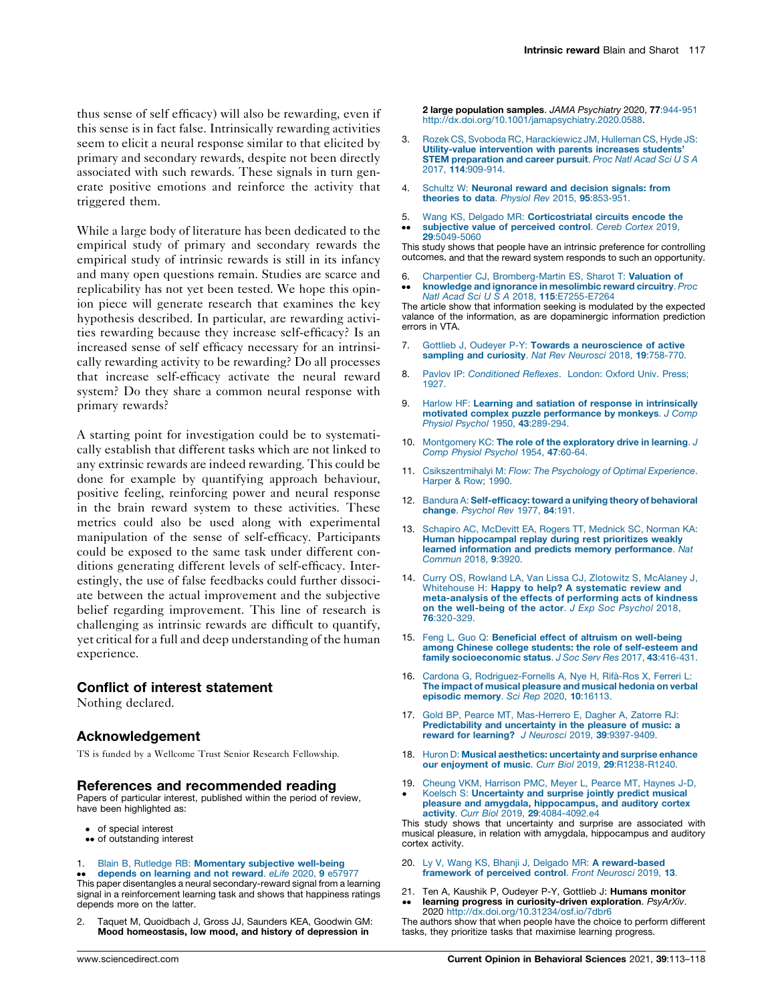<span id="page-4-0"></span>thus sense of self efficacy) will also be rewarding, even if this sense is in fact false. Intrinsically rewarding activities seem to elicit a neural response similar to that elicited by primary and secondary rewards, despite not been directly associated with such rewards. These signals in turn generate positive emotions and reinforce the activity that triggered them.

While a large body of literature has been dedicated to the empirical study of primary and secondary rewards the empirical study of intrinsic rewards is still in its infancy and many open questions remain. Studies are scarce and replicability has not yet been tested. We hope this opinion piece will generate research that examines the key hypothesis described. In particular, are rewarding activities rewarding because they increase self-efficacy? Is an increased sense of self efficacy necessary for an intrinsically rewarding activity to be rewarding? Do all processes that increase self-efficacy activate the neural reward system? Do they share a common neural response with primary rewards?

A starting point for investigation could be to systematically establish that different tasks which are not linked to any extrinsic rewards are indeed rewarding. This could be done for example by quantifying approach behaviour, positive feeling, reinforcing power and neural response in the brain reward system to these activities. These metrics could also be used along with experimental manipulation of the sense of self-efficacy. Participants could be exposed to the same task under different conditions generating different levels of self-efficacy. Interestingly, the use of false feedbacks could further dissociate between the actual improvement and the subjective belief regarding improvement. This line of research is challenging as intrinsic rewards are difficult to quantify, yet critical for a full and deep understanding of the human experience.

### Conflict of interest statement

Nothing declared.

#### Acknowledgement

TS is funded by a Wellcome Trust Senior Research Fellowship.

#### References and recommended reading

Papers of particular interest, published within the period of review, have been highlighted as:

- of special interest
- •• of outstanding interest
- 1. Blain B, Rutledge RB: [Momentary](http://refhub.elsevier.com/S2352-1546(21)00056-5/sbref0005) subjective well-being

•• depends on learning and not reward. *e∟ire 2020*, 9 e57977<br>This paper disentangles a neural secondary-reward signal from a learning [depends](http://refhub.elsevier.com/S2352-1546(21)00056-5/sbref0005) on learning and not reward. eLife 2020, 9 e57977 signal in a reinforcement learning task and shows that happiness ratings depends more on the latter.

2. Taquet M, Quoidbach J, Gross JJ, Saunders KEA, Goodwin GM: Mood homeostasis, low mood, and history of depression in

2 large population samples. JAMA Psychiatry 2020, 77:944-951 [http://dx.doi.org/10.1001/jamapsychiatry.2020.0588.](http://dx.doi.org/10.1001/jamapsychiatry.2020.0588)

- 3. Rozek CS, Svoboda RC, [Harackiewicz](http://refhub.elsevier.com/S2352-1546(21)00056-5/sbref0015) JM, Hulleman CS, Hyde JS: Utility-value [intervention](http://refhub.elsevier.com/S2352-1546(21)00056-5/sbref0015) with parents increases students' STEM [preparation](http://refhub.elsevier.com/S2352-1546(21)00056-5/sbref0015) and career pursuit. Proc Natl Acad Sci U S A 2017, 114[:909-914.](http://refhub.elsevier.com/S2352-1546(21)00056-5/sbref0015)
- 4. Schultz W: [Neuronal](http://refhub.elsevier.com/S2352-1546(21)00056-5/sbref0020) reward and decision signals: from theories to data. Physiol Rev 2015, 95[:853-951.](http://refhub.elsevier.com/S2352-1546(21)00056-5/sbref0020)
- 5.  $\bullet$ Wang KS, Delgado MR: [Corticostriatal](http://refhub.elsevier.com/S2352-1546(21)00056-5/sbref0025) circuits encode the [subjective](http://refhub.elsevier.com/S2352-1546(21)00056-5/sbref0025) value of perceived control. Cereb Cortex 2019, 29[:5049-5060](http://refhub.elsevier.com/S2352-1546(21)00056-5/sbref0025)

This study shows that people have an intrinsic preference for controlling outcomes, and that the reward system responds to such an opportunity.

- 6. Charpentier CJ, [Bromberg-Martin](http://refhub.elsevier.com/S2352-1546(21)00056-5/sbref0030) ES, Sharot T: Valuation of
- $\ddot{\phantom{0}}$ knowledge and ignorance in [mesolimbic](http://refhub.elsevier.com/S2352-1546(21)00056-5/sbref0030) reward circuitry. Proc Natl Acad Sci U S A 2018, 115[:E7255-E7264](http://refhub.elsevier.com/S2352-1546(21)00056-5/sbref0030)

The article show that information seeking is modulated by the expected valance of the information, as are dopaminergic information prediction errors in VTA.

- 7. Gottlieb J, Oudeyer P-Y: Towards a [neuroscience](http://refhub.elsevier.com/S2352-1546(21)00056-5/sbref0035) of active [sampling](http://refhub.elsevier.com/S2352-1546(21)00056-5/sbref0035) and curiosity. Nat Rev Neurosci 2018, 19:758-770.
- 8. Pavlov IP: [Conditioned](http://refhub.elsevier.com/S2352-1546(21)00056-5/sbref0040) Reflexes. London: Oxford Univ. Press; [1927.](http://refhub.elsevier.com/S2352-1546(21)00056-5/sbref0040)
- 9. Harlow HF: Learning and satiation of response in [intrinsically](http://refhub.elsevier.com/S2352-1546(21)00056-5/sbref0045) motivated complex puzzle [performance](http://refhub.elsevier.com/S2352-1546(21)00056-5/sbref0045) by monkeys. J Comp Physiol Psychol 1950, 43[:289-294.](http://refhub.elsevier.com/S2352-1546(21)00056-5/sbref0045)
- 10. [Montgomery](http://refhub.elsevier.com/S2352-1546(21)00056-5/sbref0050) KC: The role of the exploratory drive in learning. J Comp Physiol [Psychol](http://refhub.elsevier.com/S2352-1546(21)00056-5/sbref0050) 1954, 47:60-64.
- 11. [Csikszentmihalyi](http://refhub.elsevier.com/S2352-1546(21)00056-5/sbref0055) M: Flow: The Psychology of Optimal Experience. [Harper](http://refhub.elsevier.com/S2352-1546(21)00056-5/sbref0055) & Row; 1990.
- 12. Bandura A: [Self-efficacy:](http://refhub.elsevier.com/S2352-1546(21)00056-5/sbref0060) toward a unifying theory of behavioral change. [Psychol](http://refhub.elsevier.com/S2352-1546(21)00056-5/sbref0060) Rev 1977, 84:191.
- 13. Schapiro AC, [McDevitt](http://refhub.elsevier.com/S2352-1546(21)00056-5/sbref0065) EA, Rogers TT, Mednick SC, Norman KA: Human [hippocampal](http://refhub.elsevier.com/S2352-1546(21)00056-5/sbref0065) replay during rest prioritizes weakly learned information and predicts memory [performance](http://refhub.elsevier.com/S2352-1546(21)00056-5/sbref0065). Nat [Commun](http://refhub.elsevier.com/S2352-1546(21)00056-5/sbref0065) 2018, 9:3920.
- 14. Curry OS, Rowland LA, Van Lissa CJ, Zlotowitz S, [McAlaney](http://refhub.elsevier.com/S2352-1546(21)00056-5/sbref0070) J, [Whitehouse](http://refhub.elsevier.com/S2352-1546(21)00056-5/sbref0070) H: Happy to help? A systematic review and [meta-analysis](http://refhub.elsevier.com/S2352-1546(21)00056-5/sbref0070) of the effects of performing acts of kindness on the [well-being](http://refhub.elsevier.com/S2352-1546(21)00056-5/sbref0070) of the actor. J Exp Soc Psychol 2018, 76[:320-329.](http://refhub.elsevier.com/S2352-1546(21)00056-5/sbref0070)
- 15. Feng L, Guo Q: Beneficial effect of altruism on [well-being](http://refhub.elsevier.com/S2352-1546(21)00056-5/sbref0075) among Chinese college students: the role of [self-esteem](http://refhub.elsevier.com/S2352-1546(21)00056-5/sbref0075) and family [socioeconomic](http://refhub.elsevier.com/S2352-1546(21)00056-5/sbref0075) status. J Soc Serv Res 2017, 43:416-431.
- 16. Cardona G, [Rodriguez-Fornells](http://refhub.elsevier.com/S2352-1546(21)00056-5/sbref0080) A, Nye H, Rifà-Ros X, Ferreri L: The impact of musical [pleasure](http://refhub.elsevier.com/S2352-1546(21)00056-5/sbref0080) and musical hedonia on verbal [episodic](http://refhub.elsevier.com/S2352-1546(21)00056-5/sbref0080) memory. Sci Rep 2020, 10:16113.
- 17. Gold BP, Pearce MT, [Mas-Herrero](http://refhub.elsevier.com/S2352-1546(21)00056-5/sbref0085) E, Dagher A, Zatorre RJ: [Predictability](http://refhub.elsevier.com/S2352-1546(21)00056-5/sbref0085) and uncertainty in the pleasure of music: a reward for learning? J Neurosci 2019, 39[:9397-9409.](http://refhub.elsevier.com/S2352-1546(21)00056-5/sbref0085)
- 18. Huron D: Musical aesthetics: [uncertainty](http://refhub.elsevier.com/S2352-1546(21)00056-5/sbref0090) and surprise enhance our enjoyment of music. Curr Biol 2019, 29[:R1238-R1240.](http://refhub.elsevier.com/S2352-1546(21)00056-5/sbref0090)
- 19.  $\bullet$ Cheung VKM, [Harrison](http://refhub.elsevier.com/S2352-1546(21)00056-5/sbref0095) PMC, Meyer L, Pearce MT, Haynes J-D,<br>Koelsch S: **[Uncertainty](http://refhub.elsevier.com/S2352-1546(21)00056-5/sbref0095) and surprise jointly predict musical** pleasure and amygdala, [hippocampus,](http://refhub.elsevier.com/S2352-1546(21)00056-5/sbref0095) and auditory cortex<br>activity. Curr Biol 2019, 29[:4084-4092.e4](http://refhub.elsevier.com/S2352-1546(21)00056-5/sbref0095)

This study shows that uncertainty and surprise are associated with musical pleasure, in relation with amygdala, hippocampus and auditory cortex activity.

- 20. Ly V, Wang KS, Bhanji J, Delgado MR: A [reward-based](http://refhub.elsevier.com/S2352-1546(21)00056-5/sbref0100) [framework](http://refhub.elsevier.com/S2352-1546(21)00056-5/sbref0100) of perceived control. Front Neurosci 2019, 13.
- 21.  $\bullet\bullet$ Ten A, Kaushik P, Oudeyer P-Y, Gottlieb J: Humans monitor learning progress in curiosity-driven exploration. PsyArXiv. 2020 <http://dx.doi.org/10.31234/osf.io/7dbr6>

The authors show that when people have the choice to perform different tasks, they prioritize tasks that maximise learning progress.